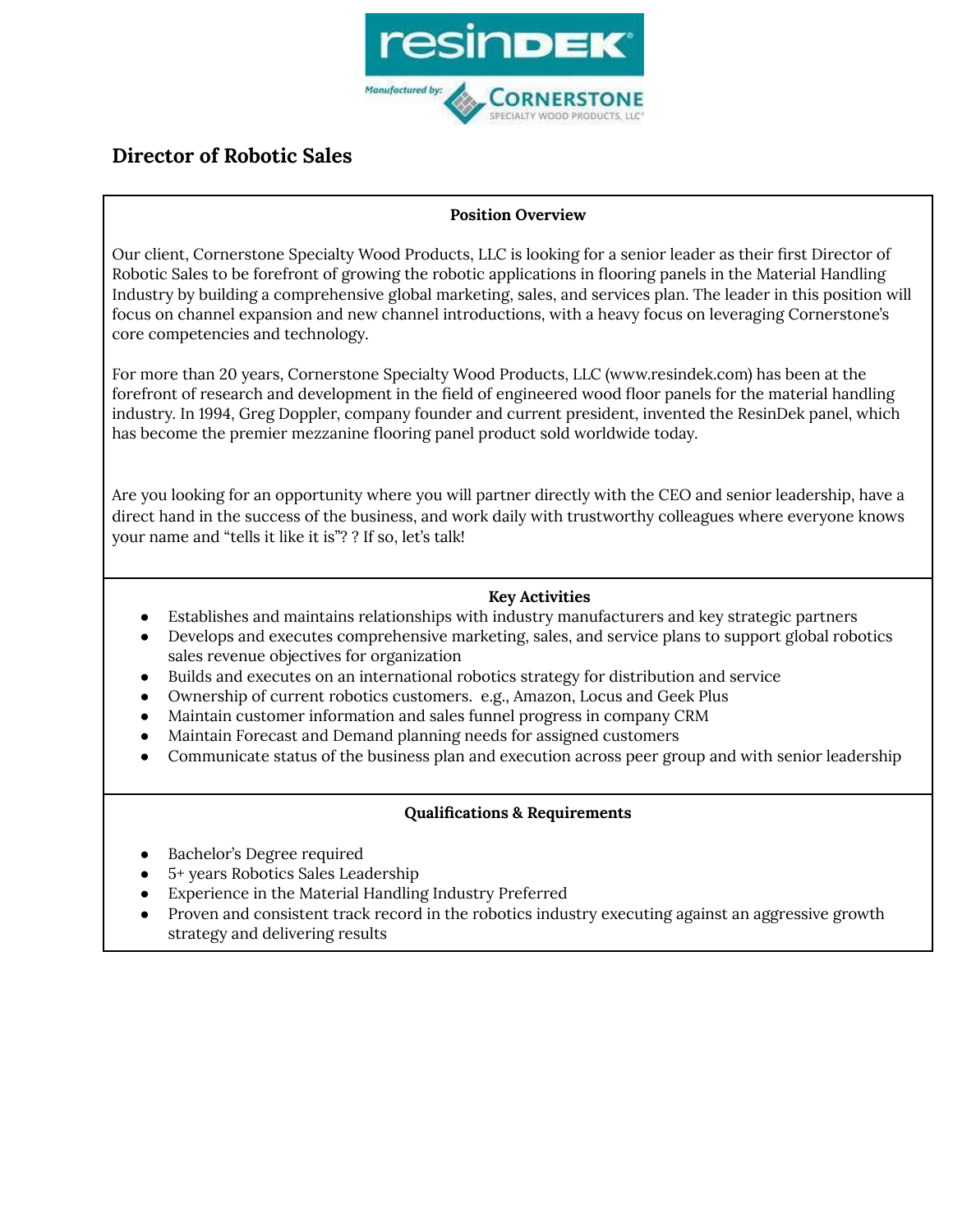

# **Director of Robotic Sales**

## **Position Overview**

Our client, Cornerstone Specialty Wood Products, LLC is looking for a senior leader as their first Director of Robotic Sales to be forefront of growing the robotic applications in flooring panels in the Material Handling Industry by building a comprehensive global marketing, sales, and services plan. The leader in this position will focus on channel expansion and new channel introductions, with a heavy focus on leveraging Cornerstone's core competencies and technology.

For more than 20 years, Cornerstone Specialty Wood Products, LLC (www.resindek.com) has been at the forefront of research and development in the field of engineered wood floor panels for the material handling industry. In 1994, Greg Doppler, company founder and current president, invented the ResinDek panel, which has become the premier mezzanine flooring panel product sold worldwide today.

Are you looking for an opportunity where you will partner directly with the CEO and senior leadership, have a direct hand in the success of the business, and work daily with trustworthy colleagues where everyone knows your name and "tells it like it is"? ? If so, let's talk!

## **Key Activities**

- Establishes and maintains relationships with industry manufacturers and key strategic partners
- Develops and executes comprehensive marketing, sales, and service plans to support global robotics sales revenue objectives for organization
- Builds and executes on an international robotics strategy for distribution and service
- Ownership of current robotics customers. e.g., Amazon, Locus and Geek Plus
- Maintain customer information and sales funnel progress in company CRM
- Maintain Forecast and Demand planning needs for assigned customers
- Communicate status of the business plan and execution across peer group and with senior leadership

## **Qualifications & Requirements**

- Bachelor's Degree required
- 5+ years Robotics Sales Leadership
- Experience in the Material Handling Industry Preferred
- Proven and consistent track record in the robotics industry executing against an aggressive growth strategy and delivering results